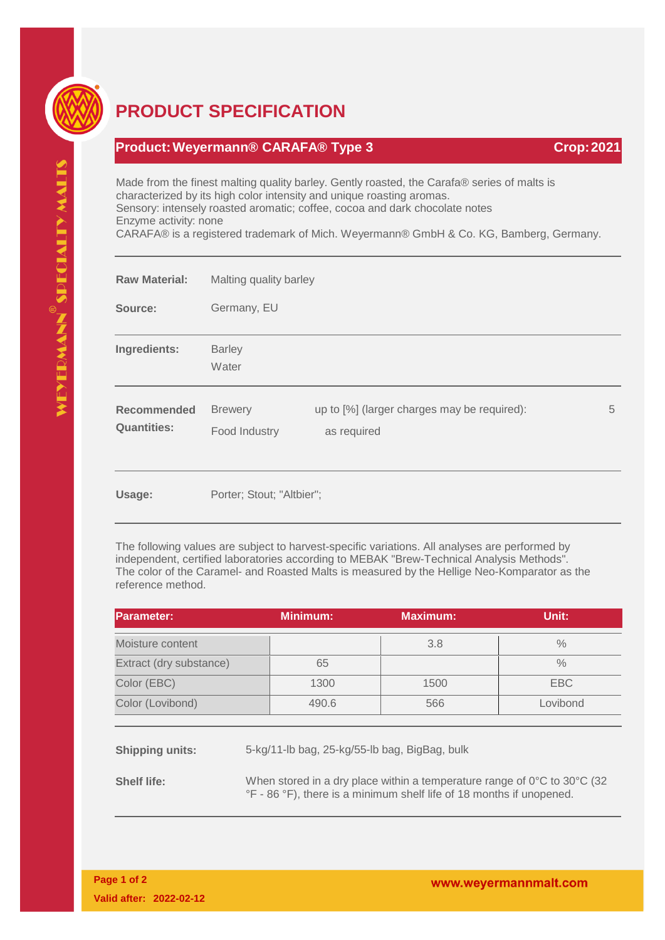

## **PRODUCT SPECIFICATION**

## **Product:Weyermann® CARAFA® Type 3 Crop:2021**

Made from the finest malting quality barley. Gently roasted, the Carafa® series of malts is characterized by its high color intensity and unique roasting aromas. Sensory: intensely roasted aromatic; coffee, cocoa and dark chocolate notes Enzyme activity: none

CARAFA® is a registered trademark of Mich. Weyermann® GmbH & Co. KG, Bamberg, Germany.

| <b>Raw Material:</b>                     | Malting quality barley          |                                                            |   |
|------------------------------------------|---------------------------------|------------------------------------------------------------|---|
| Source:                                  | Germany, EU                     |                                                            |   |
| Ingredients:                             | <b>Barley</b><br>Water          |                                                            |   |
| <b>Recommended</b><br><b>Quantities:</b> | <b>Brewery</b><br>Food Industry | up to [%] (larger charges may be required):<br>as required | 5 |
| Usage:                                   | Porter; Stout; "Altbier";       |                                                            |   |

The following values are subject to harvest-specific variations. All analyses are performed by independent, certified laboratories according to MEBAK "Brew-Technical Analysis Methods". The color of the Caramel- and Roasted Malts is measured by the Hellige Neo-Komparator as the reference method.

| Parameter:              | <b>Minimum:</b> | <b>Maximum:</b> | Unit:         |
|-------------------------|-----------------|-----------------|---------------|
| Moisture content        |                 | 3.8             | $\frac{0}{0}$ |
| Extract (dry substance) | 65              |                 | $\frac{0}{0}$ |
| Color (EBC)             | 1300            | 1500            | EBC           |
| Color (Lovibond)        | 490.6           | 566             | Lovibond      |

**Shipping units:** 5-kg/11-lb bag, 25-kg/55-lb bag, BigBag, bulk

**Shelf life:** When stored in a dry place within a temperature range of 0°C to 30°C (32 °F - 86 °F), there is a minimum shelf life of 18 months if unopened.